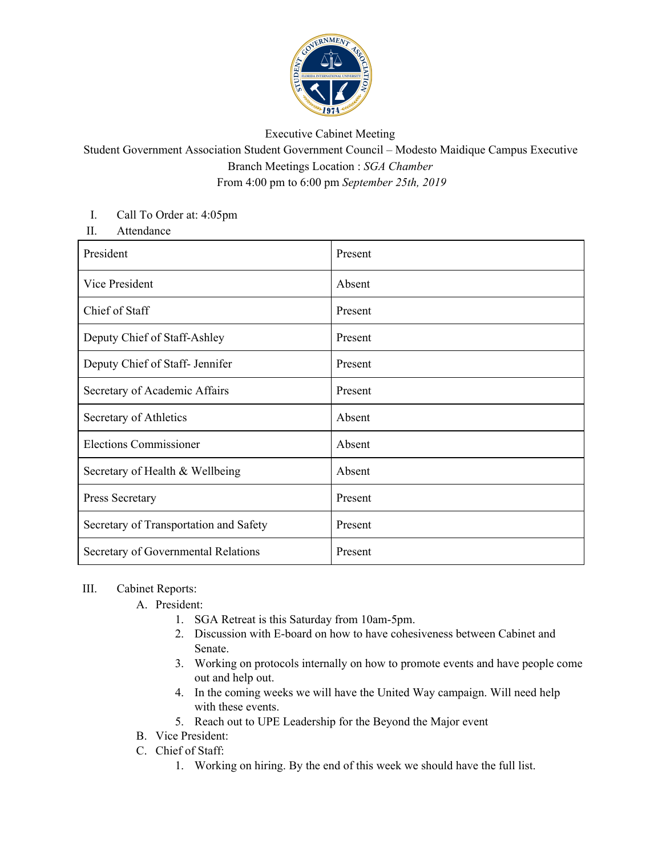

## Executive Cabinet Meeting

## Student Government Association Student Government Council – Modesto Maidique Campus Executive Branch Meetings Location : *SGA Chamber* From 4:00 pm to 6:00 pm *September 25th, 2019*

## I. Call To Order at: 4:05pm

II. Attendance

| President                              | Present |
|----------------------------------------|---------|
| Vice President                         | Absent  |
| Chief of Staff                         | Present |
| Deputy Chief of Staff-Ashley           | Present |
| Deputy Chief of Staff- Jennifer        | Present |
| Secretary of Academic Affairs          | Present |
| Secretary of Athletics                 | Absent  |
| <b>Elections Commissioner</b>          | Absent  |
| Secretary of Health & Wellbeing        | Absent  |
| Press Secretary                        | Present |
| Secretary of Transportation and Safety | Present |
| Secretary of Governmental Relations    | Present |

## III. Cabinet Reports:

A. President:

- 1. SGA Retreat is this Saturday from 10am-5pm.
- 2. Discussion with E-board on how to have cohesiveness between Cabinet and Senate.
- 3. Working on protocols internally on how to promote events and have people come out and help out.
- 4. In the coming weeks we will have the United Way campaign. Will need help with these events.
- 5. Reach out to UPE Leadership for the Beyond the Major event
- B. Vice President:
- C. Chief of Staff:
	- 1. Working on hiring. By the end of this week we should have the full list.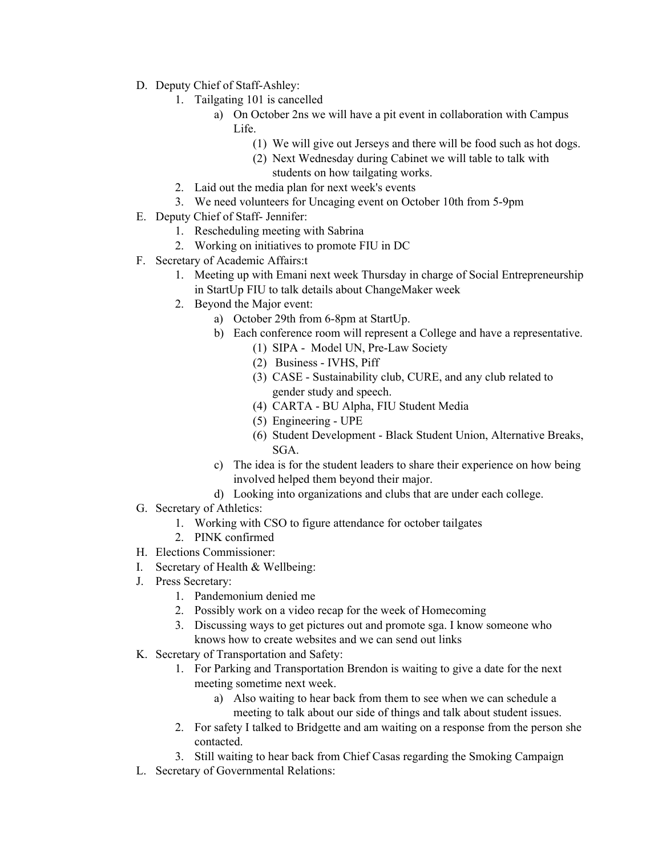- D. Deputy Chief of Staff-Ashley:
	- 1. Tailgating 101 is cancelled
		- a) On October 2ns we will have a pit event in collaboration with Campus Life.
			- (1) We will give out Jerseys and there will be food such as hot dogs.
			- (2) Next Wednesday during Cabinet we will table to talk with students on how tailgating works.
	- 2. Laid out the media plan for next week's events
	- 3. We need volunteers for Uncaging event on October 10th from 5-9pm
- E. Deputy Chief of Staff- Jennifer:
	- 1. Rescheduling meeting with Sabrina
	- 2. Working on initiatives to promote FIU in DC
- F. Secretary of Academic Affairs:t
	- 1. Meeting up with Emani next week Thursday in charge of Social Entrepreneurship in StartUp FIU to talk details about ChangeMaker week
	- 2. Beyond the Major event:
		- a) October 29th from 6-8pm at StartUp.
		- b) Each conference room will represent a College and have a representative.
			- (1) SIPA Model UN, Pre-Law Society
			- (2) Business IVHS, Piff
			- (3) CASE Sustainability club, CURE, and any club related to gender study and speech.
			- (4) CARTA BU Alpha, FIU Student Media
			- (5) Engineering UPE
			- (6) Student Development Black Student Union, Alternative Breaks, SGA.
		- c) The idea is for the student leaders to share their experience on how being involved helped them beyond their major.
		- d) Looking into organizations and clubs that are under each college.
- G. Secretary of Athletics:
	- 1. Working with CSO to figure attendance for october tailgates
	- 2. PINK confirmed
- H. Elections Commissioner:
- I. Secretary of Health & Wellbeing:
- J. Press Secretary:
	- 1. Pandemonium denied me
	- 2. Possibly work on a video recap for the week of Homecoming
	- 3. Discussing ways to get pictures out and promote sga. I know someone who knows how to create websites and we can send out links
- K. Secretary of Transportation and Safety:
	- 1. For Parking and Transportation Brendon is waiting to give a date for the next meeting sometime next week.
		- a) Also waiting to hear back from them to see when we can schedule a meeting to talk about our side of things and talk about student issues.
	- 2. For safety I talked to Bridgette and am waiting on a response from the person she contacted.
	- 3. Still waiting to hear back from Chief Casas regarding the Smoking Campaign
- L. Secretary of Governmental Relations: